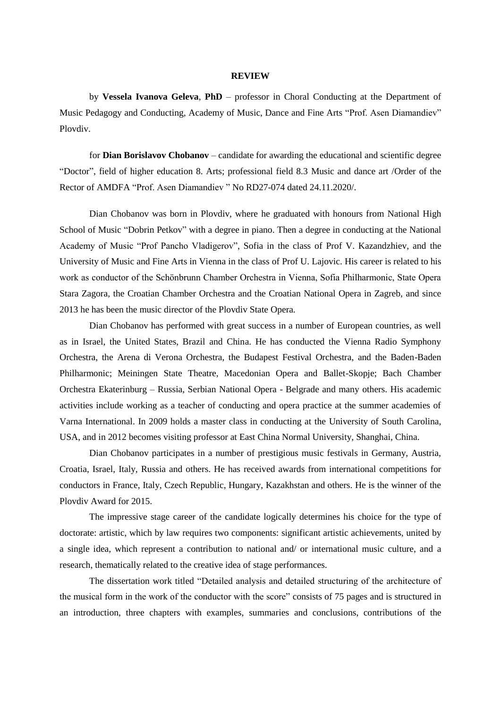## **REVIEW**

by **Vessela Ivanova Geleva**, **PhD** – professor in Choral Conducting at the Department of Music Pedagogy and Conducting, Academy of Music, Dance and Fine Arts "Prof. Asen Diamandiev" Plovdiv.

for **Dian Borislavov Chobanov** – candidate for awarding the educational and scientific degree "Doctor", field of higher education 8. Arts; professional field 8.3 Music and dance art /Order of the Rector of AMDFA "Prof. Asen Diamandiev " No RD27-074 dated 24.11.2020/.

Dian Chobanov was born in Plovdiv, where he graduated with honours from National High School of Music "Dobrin Petkov" with a degree in piano. Then a degree in conducting at the National Academy of Music "Prof Pancho Vladigerov", Sofia in the class of Prof V. Kazandzhiev, and the University of Music and Fine Arts in Vienna in the class of Prof U. Lajovic. His career is related to his work as conductor of the Schönbrunn Chamber Orchestra in Vienna, Sofia Philharmonic, State Opera Stara Zagora, the Croatian Chamber Orchestra and the Croatian National Opera in Zagreb, and since 2013 he has been the music director of the Plovdiv State Opera.

Dian Chobanov has performed with great success in a number of European countries, as well as in Israel, the United States, Brazil and China. He has conducted the Vienna Radio Symphony Orchestra, the Arena di Verona Orchestra, the Budapest Festival Orchestra, and the Baden-Baden Philharmonic; Meiningen State Theatre, Macedonian Opera and Ballet-Skopje; Bach Chamber Orchestra Ekaterinburg – Russia, Serbian National Opera - Belgrade and many others. His academic activities include working as a teacher of conducting and opera practice at the summer academies of Varna International. In 2009 holds a master class in conducting at the University of South Carolina, USA, and in 2012 becomes visiting professor at East China Normal University, Shanghai, China.

Dian Chobanov participates in a number of prestigious music festivals in Germany, Austria, Croatia, Israel, Italy, Russia and others. He has received awards from international competitions for conductors in France, Italy, Czech Republic, Hungary, Kazakhstan and others. He is the winner of the Plovdiv Award for 2015.

The impressive stage career of the candidate logically determines his choice for the type of doctorate: artistic, which by law requires two components: significant artistic achievements, united by a single idea, which represent a contribution to national and/ or international music culture, and a research, thematically related to the creative idea of stage performances.

The dissertation work titled "Detailed analysis and detailed structuring of the architecture of the musical form in the work of the conductor with the score" consists of 75 pages and is structured in an introduction, three chapters with examples, summaries and conclusions, contributions of the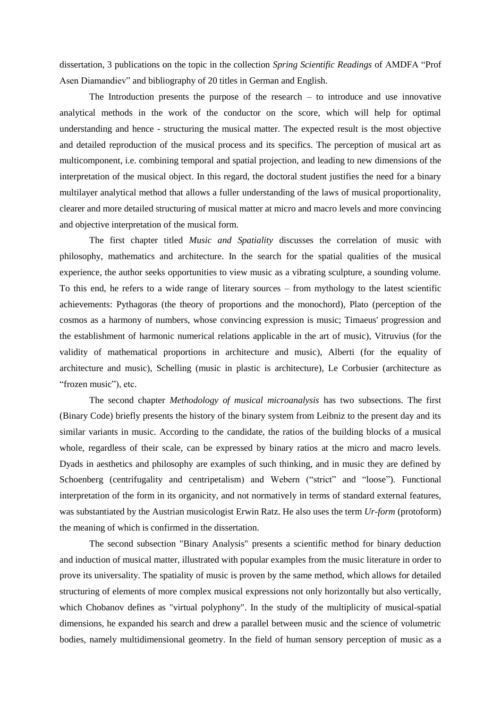dissertation, 3 publications on the topic in the collection *Spring Scientific Readings* of AMDFA "Prof Asen Diamandiev" and bibliography of 20 titles in German and English.

The Introduction presents the purpose of the research  $-$  to introduce and use innovative analytical methods in the work of the conductor on the score, which will help for optimal understanding and hence - structuring the musical matter. The expected result is the most objective and detailed reproduction of the musical process and its specifics. The perception of musical art as multicomponent, i.e. combining temporal and spatial projection, and leading to new dimensions of the interpretation of the musical object. In this regard, the doctoral student justifies the need for a binary multilayer analytical method that allows a fuller understanding of the laws of musical proportionality, clearer and more detailed structuring of musical matter at micro and macro levels and more convincing and objective interpretation of the musical form.

The first chapter titled *Music and Spatiality* discusses the correlation of music with philosophy, mathematics and architecture. In the search for the spatial qualities of the musical experience, the author seeks opportunities to view music as a vibrating sculpture, a sounding volume. To this end, he refers to a wide range of literary sources – from mythology to the latest scientific achievements: Pythagoras (the theory of proportions and the monochord), Plato (perception of the cosmos as a harmony of numbers, whose convincing expression is music; Timaeus' progression and the establishment of harmonic numerical relations applicable in the art of music), Vitruvius (for the validity of mathematical proportions in architecture and music), Alberti (for the equality of architecture and music), Schelling (music in plastic is architecture), Le Corbusier (architecture as "frozen music"), etc.

The second chapter *Methodology of musical microanalysis* has two subsections. The first (Binary Code) briefly presents the history of the binary system from Leibniz to the present day and its similar variants in music. According to the candidate, the ratios of the building blocks of a musical whole, regardless of their scale, can be expressed by binary ratios at the micro and macro levels. Dyads in aesthetics and philosophy are examples of such thinking, and in music they are defined by Schoenberg (centrifugality and centripetalism) and Webern ("strict" and "loose"). Functional interpretation of the form in its organicity, and not normatively in terms of standard external features, was substantiated by the Austrian musicologist Erwin Ratz. He also uses the term *Ur-form* (protoform) the meaning of which is confirmed in the dissertation.

The second subsection "Binary Analysis" presents a scientific method for binary deduction and induction of musical matter, illustrated with popular examples from the music literature in order to prove its universality. The spatiality of music is proven by the same method, which allows for detailed structuring of elements of more complex musical expressions not only horizontally but also vertically, which Chobanov defines as "virtual polyphony". In the study of the multiplicity of musical-spatial dimensions, he expanded his search and drew a parallel between music and the science of volumetric bodies, namely multidimensional geometry. In the field of human sensory perception of music as a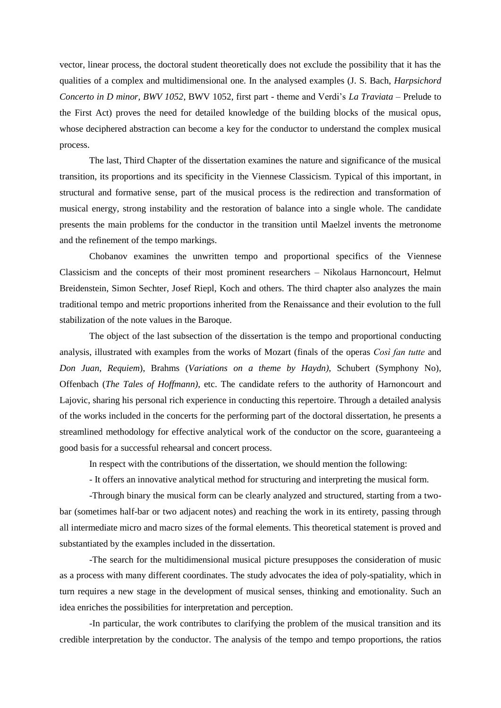vector, linear process, the doctoral student theoretically does not exclude the possibility that it has the qualities of a complex and multidimensional one. In the analysed examples (J. S. Bach, *Harpsichord Concerto in D minor, BWV 1052*, BWV 1052, first part - theme and Verdi's *La Traviata* – Prelude to the First Act) proves the need for detailed knowledge of the building blocks of the musical opus, whose deciphered abstraction can become a key for the conductor to understand the complex musical process.

The last, Third Chapter of the dissertation examines the nature and significance of the musical transition, its proportions and its specificity in the Viennese Classicism. Typical of this important, in structural and formative sense, part of the musical process is the redirection and transformation of musical energy, strong instability and the restoration of balance into a single whole. The candidate presents the main problems for the conductor in the transition until Maelzel invents the metronome and the refinement of the tempo markings.

Chobanov examines the unwritten tempo and proportional specifics of the Viennese Classicism and the concepts of their most prominent researchers – Nikolaus Harnoncourt, Helmut Breidenstein, Simon Sechter, Josef Riepl, Koch and others. The third chapter also analyzes the main traditional tempo and metric proportions inherited from the Renaissance and their evolution to the full stabilization of the note values in the Baroque.

The object of the last subsection of the dissertation is the tempo and proportional conducting analysis, illustrated with examples from the works of Mozart (finals of the operas *Così fan tutte* and *Don Juan, Requiem*), Brahms (*Variations on a theme by Haydn)*, Schubert (Symphony No), Offenbach (*The Tales of Hoffmann)*, etc. The candidate refers to the authority of Harnoncourt and Lajovic, sharing his personal rich experience in conducting this repertoire. Through a detailed analysis of the works included in the concerts for the performing part of the doctoral dissertation, he presents a streamlined methodology for effective analytical work of the conductor on the score, guaranteeing a good basis for a successful rehearsal and concert process.

In respect with the contributions of the dissertation, we should mention the following:

- It offers an innovative analytical method for structuring and interpreting the musical form.

-Through binary the musical form can be clearly analyzed and structured, starting from a twobar (sometimes half-bar or two adjacent notes) and reaching the work in its entirety, passing through all intermediate micro and macro sizes of the formal elements. This theoretical statement is proved and substantiated by the examples included in the dissertation.

-The search for the multidimensional musical picture presupposes the consideration of music as a process with many different coordinates. The study advocates the idea of poly-spatiality, which in turn requires a new stage in the development of musical senses, thinking and emotionality. Such an idea enriches the possibilities for interpretation and perception.

-In particular, the work contributes to clarifying the problem of the musical transition and its credible interpretation by the conductor. The analysis of the tempo and tempo proportions, the ratios